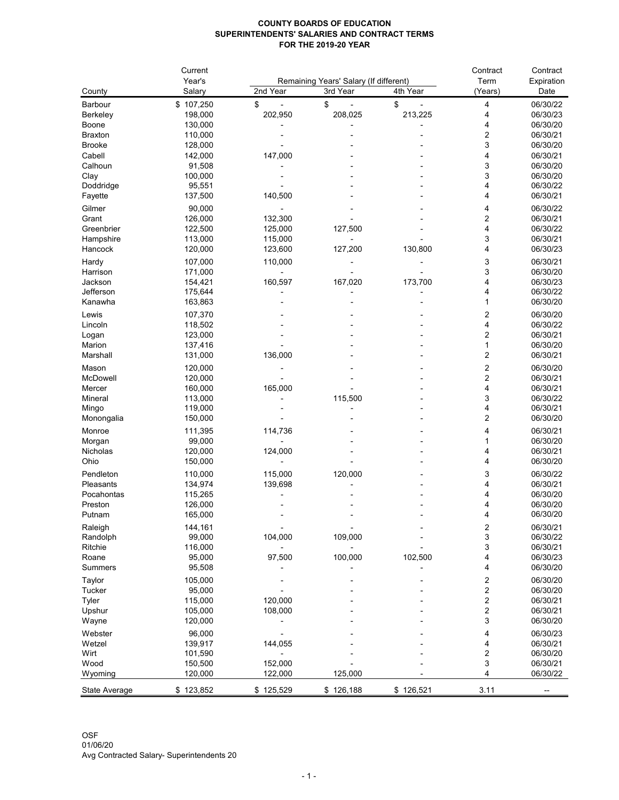## **COUNTY BOARDS OF EDUCATION SUPERINTENDENTS' SALARIES AND CONTRACT TERMS FOR THE 2019-20 YEAR**

|                      | Current<br>Year's | Remaining Years' Salary (If different) |           |           | Contract<br>Term    | Contract<br>Expiration |
|----------------------|-------------------|----------------------------------------|-----------|-----------|---------------------|------------------------|
|                      |                   |                                        |           |           |                     |                        |
| County               | Salary            | 2nd Year                               | 3rd Year  | 4th Year  | (Years)             | Date                   |
| Barbour              | \$107,250         | \$                                     | \$        | \$        | 4                   | 06/30/22               |
| Berkeley             | 198,000           | 202,950                                | 208,025   | 213,225   | 4                   | 06/30/23               |
| <b>Boone</b>         | 130,000           |                                        |           |           | 4                   | 06/30/20               |
| <b>Braxton</b>       | 110,000           |                                        |           |           | 2                   | 06/30/21               |
| <b>Brooke</b>        | 128,000           |                                        |           |           | 3                   | 06/30/20               |
| Cabell               | 142,000           | 147,000                                |           |           | 4                   | 06/30/21               |
| Calhoun              | 91,508            |                                        |           |           | 3                   | 06/30/20               |
| Clay                 | 100,000           |                                        |           |           | 3                   | 06/30/20               |
| Doddridge            | 95,551            |                                        |           |           | 4                   | 06/30/22               |
| Fayette              | 137,500           | 140,500                                |           |           | 4                   | 06/30/21               |
| Gilmer               | 90,000            |                                        |           |           | 4                   | 06/30/22               |
| Grant                | 126,000           | 132,300                                |           |           | 2                   | 06/30/21               |
| Greenbrier           | 122,500           | 125,000                                | 127,500   |           | 4                   | 06/30/22               |
| Hampshire            | 113,000           | 115,000                                |           |           | 3                   | 06/30/21               |
| Hancock              | 120,000           | 123,600                                | 127,200   | 130,800   | 4                   | 06/30/23               |
| Hardy                | 107,000           | 110,000                                |           |           | 3                   | 06/30/21               |
| Harrison             | 171,000           |                                        |           |           | 3                   | 06/30/20               |
| Jackson              | 154,421           | 160,597                                | 167,020   | 173,700   | 4                   | 06/30/23               |
| Jefferson            | 175,644           |                                        |           |           | 4                   | 06/30/22               |
| Kanawha              | 163,863           |                                        |           |           | 1                   | 06/30/20               |
| Lewis                | 107,370           |                                        |           |           | 2                   | 06/30/20               |
| Lincoln              | 118,502           |                                        |           |           | 4                   | 06/30/22               |
| Logan                | 123,000           |                                        |           |           | 2                   | 06/30/21               |
| Marion               | 137,416           |                                        |           |           | 1                   | 06/30/20               |
| Marshall             | 131,000           | 136,000                                |           |           | 2                   | 06/30/21               |
| Mason                | 120,000           |                                        |           |           |                     | 06/30/20               |
| McDowell             | 120,000           |                                        |           |           | 2<br>$\overline{2}$ | 06/30/21               |
| Mercer               | 160,000           | 165,000                                |           |           | 4                   | 06/30/21               |
| Mineral              | 113,000           |                                        | 115,500   |           | 3                   | 06/30/22               |
| Mingo                | 119,000           |                                        |           |           |                     | 06/30/21               |
| Monongalia           | 150,000           |                                        |           |           | 2                   | 06/30/20               |
|                      |                   |                                        |           |           |                     |                        |
| Monroe               | 111,395           | 114,736                                |           |           | 4                   | 06/30/21               |
| Morgan               | 99,000            |                                        |           |           |                     | 06/30/20               |
| Nicholas             | 120,000           | 124,000                                |           |           |                     | 06/30/21               |
| Ohio                 | 150,000           |                                        |           |           | 4                   | 06/30/20               |
| Pendleton            | 110,000           | 115,000                                | 120,000   |           | 3                   | 06/30/22               |
| Pleasants            | 134,974           | 139,698                                |           |           | 4                   | 06/30/21               |
| Pocahontas           | 115,265           |                                        |           |           | 4                   | 06/30/20               |
| Preston              | 126,000           |                                        |           |           | 4                   | 06/30/20               |
| Putnam               | 165,000           |                                        |           |           | 4                   | 06/30/20               |
| Raleigh              | 144,161           |                                        |           |           | 2                   | 06/30/21               |
| Randolph             | 99,000            | 104,000                                | 109,000   |           | 3                   | 06/30/22               |
| Ritchie              | 116,000           |                                        |           |           | 3                   | 06/30/21               |
| Roane                | 95,000            | 97,500                                 | 100,000   | 102,500   | 4                   | 06/30/23               |
| <b>Summers</b>       | 95,508            |                                        |           |           | 4                   | 06/30/20               |
| Taylor               | 105,000           |                                        |           |           | 2                   | 06/30/20               |
| <b>Tucker</b>        | 95,000            |                                        |           |           | 2                   | 06/30/20               |
| Tyler                | 115,000           | 120,000                                |           |           | 2                   | 06/30/21               |
| Upshur               | 105,000           | 108,000                                |           |           | 2                   | 06/30/21               |
| Wayne                | 120,000           |                                        |           |           | 3                   | 06/30/20               |
| Webster              | 96,000            |                                        |           |           | 4                   | 06/30/23               |
| Wetzel               | 139,917           | 144,055                                |           |           | 4                   | 06/30/21               |
| Wirt                 | 101,590           |                                        |           |           | 2                   | 06/30/20               |
| Wood                 | 150,500           | 152,000                                |           |           | 3                   | 06/30/21               |
| Wyoming              | 120,000           | 122,000                                | 125,000   |           | 4                   | 06/30/22               |
|                      |                   |                                        |           |           |                     |                        |
| <b>State Average</b> | \$123,852         | \$125,529                              | \$126,188 | \$126,521 | 3.11                |                        |